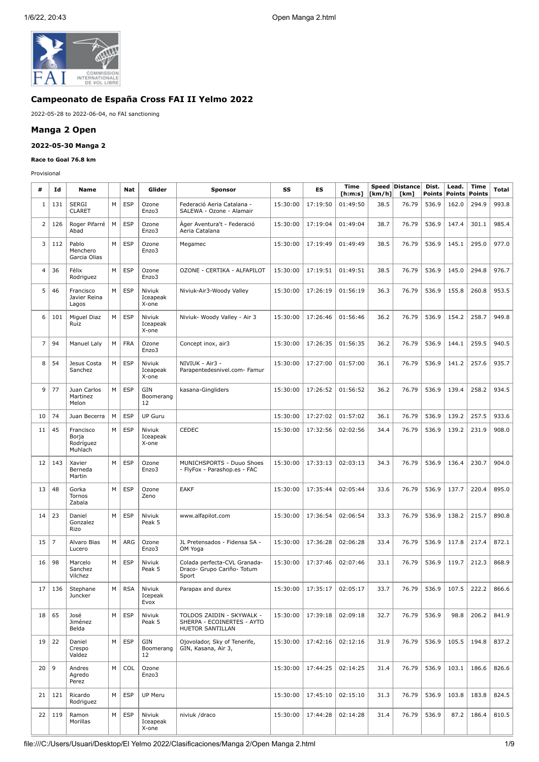

# **Campeonato de España Cross FAI II Yelmo 2022**

2022-05-28 to 2022-06-04, no FAI sanctioning

### **Manga 2 Open**

#### **2022-05-30 Manga 2**

#### **Race to Goal 76.8 km**

Provisional

| #               | Id             | Name                                       |   | Nat        | Glider                      | <b>Sponsor</b>                                                              | SS       | ES       | <b>Time</b><br>[ <b>h</b> : <b>m</b> : <b>s</b> ] | Speed<br>[km/h] | Distance<br>[km] | Dist.<br><b>Points</b> | Lead.<br><b>Points</b> | Time<br>Points | <b>Total</b> |
|-----------------|----------------|--------------------------------------------|---|------------|-----------------------------|-----------------------------------------------------------------------------|----------|----------|---------------------------------------------------|-----------------|------------------|------------------------|------------------------|----------------|--------------|
| 1               | 131            | <b>SERGI</b><br>CLARET                     | M | <b>ESP</b> | Ozone<br>Enzo3              | Federació Aeria Catalana -<br>SALEWA - Ozone - Alamair                      | 15:30:00 | 17:19:50 | 01:49:50                                          | 38.5            | 76.79            | 536.9                  | 162.0                  | 294.9          | 993.8        |
| $\overline{2}$  | 126            | Roger Pifarré<br>Abad                      | M | <b>ESP</b> | Ozone<br>Enzo3              | Áger Aventura't - Federació<br>Aeria Catalana                               | 15:30:00 | 17:19:04 | 01:49:04                                          | 38.7            | 76.79            | 536.9                  | 147.4                  | 301.1          | 985.4        |
| 3               | 112            | Pablo<br>Menchero<br>Garcia Olias          | M | <b>ESP</b> | Ozone<br>Enzo3              | Megamec                                                                     | 15:30:00 | 17:19:49 | 01:49:49                                          | 38.5            | 76.79            | 536.9                  | 145.1                  | 295.0          | 977.0        |
| $\overline{4}$  | 36             | Félix<br>Rodriguez                         | M | <b>ESP</b> | Ozone<br>Enzo3              | OZONE - CERTIKA - ALFAPILOT                                                 | 15:30:00 | 17:19:51 | 01:49:51                                          | 38.5            | 76.79            | 536.9                  | 145.0                  | 294.8          | 976.7        |
| 5               | 46             | Francisco<br>Javier Reina<br>Lagos         | M | <b>ESP</b> | Niviuk<br>Iceapeak<br>X-one | Niviuk-Air3-Woody Valley                                                    | 15:30:00 | 17:26:19 | 01:56:19                                          | 36.3            | 76.79            | 536.9                  | 155.8                  | 260.8          | 953.5        |
| 6               | 101            | Miguel Diaz<br>Ruiz                        | M | <b>ESP</b> | Niviuk<br>Iceapeak<br>X-one | Niviuk- Woody Valley - Air 3                                                | 15:30:00 | 17:26:46 | 01:56:46                                          | 36.2            | 76.79            | 536.9                  | 154.2                  | 258.7          | 949.8        |
| 7               | 94             | Manuel Laly                                | M | <b>FRA</b> | Ozone<br>Enzo3              | Concept inox, air3                                                          | 15:30:00 | 17:26:35 | 01:56:35                                          | 36.2            | 76.79            | 536.9                  | 144.1                  | 259.5          | 940.5        |
| 8               | 54             | Jesus Costa<br>Sanchez                     | M | <b>ESP</b> | Niviuk<br>Iceapeak<br>X-one | NIVIUK - Air3 -<br>Parapentedesnivel.com- Famur                             | 15:30:00 | 17:27:00 | 01:57:00                                          | 36.1            | 76.79            | 536.9                  | 141.2                  | 257.6          | 935.7        |
| 9               | 77             | Juan Carlos<br>Martinez<br>Melon           | M | <b>ESP</b> | GIN<br>Boomerang<br>12      | kasana-Gingliders                                                           | 15:30:00 | 17:26:52 | 01:56:52                                          | 36.2            | 76.79            | 536.9                  | 139.4                  | 258.2          | 934.5        |
| 10              | 74             | Juan Becerra                               | M | <b>ESP</b> | <b>UP Guru</b>              |                                                                             | 15:30:00 | 17:27:02 | 01:57:02                                          | 36.1            | 76.79            | 536.9                  | 139.2                  | 257.5          | 933.6        |
| 11              | 45             | Francisco<br>Borja<br>Rodríguez<br>Muhlach | M | <b>ESP</b> | Niviuk<br>Iceapeak<br>X-one | CEDEC                                                                       | 15:30:00 | 17:32:56 | 02:02:56                                          | 34.4            | 76.79            | 536.9                  | 139.2                  | 231.9          | 908.0        |
| 12              | 143            | Xavier<br>Berneda<br>Martin                | M | <b>ESP</b> | Ozone<br>Enzo3              | MUNICHSPORTS - Duuo Shoes<br>- FlyFox - Parashop.es - FAC                   | 15:30:00 | 17:33:13 | 02:03:13                                          | 34.3            | 76.79            | 536.9                  | 136.4                  | 230.7          | 904.0        |
| 13              | 48             | Gorka<br>Tornos<br>Zabala                  | M | <b>ESP</b> | Ozone<br>Zeno               | <b>EAKF</b>                                                                 | 15:30:00 | 17:35:44 | 02:05:44                                          | 33.6            | 76.79            | 536.9                  | 137.7                  | 220.4          | 895.0        |
| 14              | 23             | Daniel<br>Gonzalez<br>Rizo                 | M | <b>ESP</b> | Niviuk<br>Peak 5            | www.alfapilot.com                                                           | 15:30:00 | 17:36:54 | 02:06:54                                          | 33.3            | 76.79            | 536.9                  | 138.2                  | 215.7          | 890.8        |
| 15              | $\overline{7}$ | Alvaro Blas<br>Lucero                      | M | ARG        | Ozone<br>Enzo3              | JL Pretensados - Fidensa SA -<br>OM Yoga                                    | 15:30:00 | 17:36:28 | 02:06:28                                          | 33.4            | 76.79            | 536.9                  | 117.8                  | 217.4          | 872.1        |
| 16              | 98             | Marcelo<br>Sanchez<br>Vilchez              | M | <b>ESP</b> | Niviuk<br>Peak 5            | Colada perfecta-CVL Granada-<br>Draco- Grupo Cariño- Totum<br>Sport         | 15:30:00 | 17:37:46 | 02:07:46                                          | 33.1            | 76.79            | 536.9                  | 119.7                  | 212.3          | 868.9        |
|                 | 17 136         | Stephane<br>Juncker                        |   | M   RSA    | Niviuk<br>Icepeak<br>Evox   | Parapax and durex                                                           | 15:30:00 | 17:35:17 | 02:05:17                                          | 33.7            | 76.79            | 536.9                  | 107.5                  | 222.2          | 866.6        |
| 18              | 65             | José<br>Jiménez<br>Belda                   | M | <b>ESP</b> | Niviuk<br>Peak 5            | TOLDOS ZAIDIN - SKYWALK -<br>SHERPA - ECOINERTES - AYTO<br>HUETOR SANTILLAN | 15:30:00 | 17:39:18 | 02:09:18                                          | 32.7            | 76.79            | 536.9                  | 98.8                   | 206.2          | 841.9        |
| 19              | 22             | Daniel<br>Crespo<br>Valdez                 | M | <b>ESP</b> | GIN<br>Boomerang<br>12      | Ojovolador, Sky of Tenerife,<br>GIN, Kasana, Air 3,                         | 15:30:00 | 17:42:16 | 02:12:16                                          | 31.9            | 76.79            | 536.9                  | 105.5                  | 194.8          | 837.2        |
| 20 <sub>1</sub> | 9              | Andres<br>Agredo<br>Perez                  | M | COL        | Ozone<br>Enzo3              |                                                                             | 15:30:00 | 17:44:25 | 02:14:25                                          | 31.4            | 76.79            | 536.9                  | 103.1                  | 186.6          | 826.6        |
| 21              | 121            | Ricardo<br>Rodriguez                       | M | <b>ESP</b> | UP Meru                     |                                                                             | 15:30:00 | 17:45:10 | 02:15:10                                          | 31.3            | 76.79            | 536.9                  | 103.8                  | 183.8          | 824.5        |
| 22              | 119            | Ramon<br>Morillas                          | M | <b>ESP</b> | Niviuk<br>Iceapeak<br>X-one | niviuk /draco                                                               | 15:30:00 | 17:44:28 | 02:14:28                                          | 31.4            | 76.79            | 536.9                  | 87.2                   | 186.4          | 810.5        |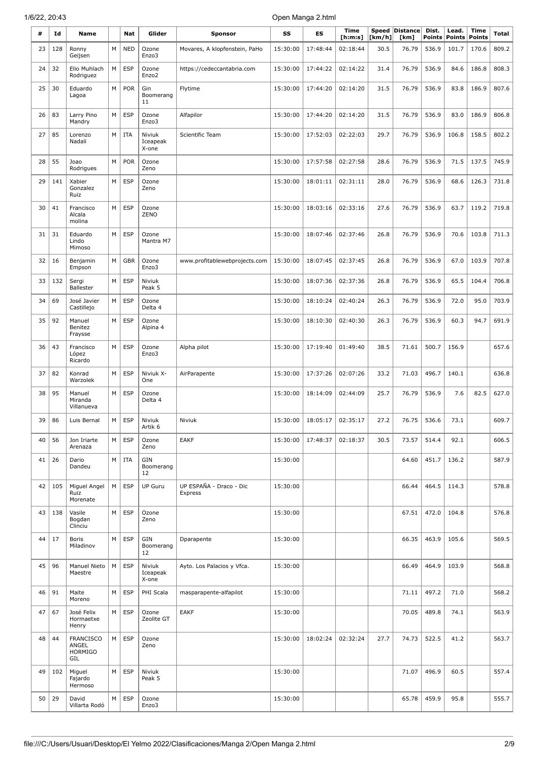| #  | Id  | Name                                               |   | Nat        | Glider                      | <b>Sponsor</b>                     | SS       | <b>ES</b> | <b>Time</b><br>[ <b>h</b> : <b>m</b> : <b>s</b> ] | Speed<br>[km/h] | <b>Distance</b><br>[km] | Dist.<br><b>Points</b> | Lead.<br><b>Points</b> | <b>Time</b><br><b>Points</b> | Total |
|----|-----|----------------------------------------------------|---|------------|-----------------------------|------------------------------------|----------|-----------|---------------------------------------------------|-----------------|-------------------------|------------------------|------------------------|------------------------------|-------|
| 23 | 128 | Ronny<br>Geijsen                                   | M | <b>NED</b> | Ozone<br>Enzo3              | Movares, A klopfenstein, PaHo      | 15:30:00 | 17:48:44  | 02:18:44                                          | 30.5            | 76.79                   | 536.9                  | 101.7                  | 170.6                        | 809.2 |
| 24 | 32  | Elio Muhlach<br>Rodriguez                          | M | <b>ESP</b> | Ozone<br>Enzo <sub>2</sub>  | https://cedeccantabria.com         | 15:30:00 | 17:44:22  | 02:14:22                                          | 31.4            | 76.79                   | 536.9                  | 84.6                   | 186.8                        | 808.3 |
| 25 | 30  | Eduardo<br>Lagoa                                   | M | POR        | Gin<br>Boomerang<br>11      | Flytime                            | 15:30:00 | 17:44:20  | 02:14:20                                          | 31.5            | 76.79                   | 536.9                  | 83.8                   | 186.9                        | 807.6 |
| 26 | 83  | Larry Pino<br>Mandry                               | M | <b>ESP</b> | Ozone<br>Enzo3              | Alfapilor                          | 15:30:00 | 17:44:20  | 02:14:20                                          | 31.5            | 76.79                   | 536.9                  | 83.0                   | 186.9                        | 806.8 |
| 27 | 85  | Lorenzo<br>Nadali                                  | M | <b>ITA</b> | Niviuk<br>Iceapeak<br>X-one | Scientific Team                    | 15:30:00 | 17:52:03  | 02:22:03                                          | 29.7            | 76.79                   | 536.9                  | 106.8                  | 158.5                        | 802.2 |
| 28 | 55  | Joao<br>Rodrigues                                  | M | <b>POR</b> | Ozone<br>Zeno               |                                    | 15:30:00 | 17:57:58  | 02:27:58                                          | 28.6            | 76.79                   | 536.9                  | 71.5                   | 137.5                        | 745.9 |
| 29 | 141 | Xabier<br>Gonzalez<br>Ruiz                         | М | <b>ESP</b> | Ozone<br>Zeno               |                                    | 15:30:00 | 18:01:11  | 02:31:11                                          | 28.0            | 76.79                   | 536.9                  | 68.6                   | 126.3                        | 731.8 |
| 30 | 41  | Francisco<br>Alcala<br>molina                      | M | <b>ESP</b> | Ozone<br>ZENO               |                                    | 15:30:00 | 18:03:16  | 02:33:16                                          | 27.6            | 76.79                   | 536.9                  | 63.7                   | 119.2                        | 719.8 |
| 31 | 31  | Eduardo<br>Lindo<br>Mimoso                         | M | <b>ESP</b> | Ozone<br>Mantra M7          |                                    | 15:30:00 | 18:07:46  | 02:37:46                                          | 26.8            | 76.79                   | 536.9                  | 70.6                   | 103.8                        | 711.3 |
| 32 | 16  | Benjamin<br>Empson                                 | M | <b>GBR</b> | Ozone<br>Enzo3              | www.profitablewebprojects.com      | 15:30:00 | 18:07:45  | 02:37:45                                          | 26.8            | 76.79                   | 536.9                  | 67.0                   | 103.9                        | 707.8 |
| 33 | 132 | Sergi<br><b>Ballester</b>                          | M | <b>ESP</b> | Niviuk<br>Peak 5            |                                    | 15:30:00 | 18:07:36  | 02:37:36                                          | 26.8            | 76.79                   | 536.9                  | 65.5                   | 104.4                        | 706.8 |
| 34 | 69  | José Javier<br>Castillejo                          | M | <b>ESP</b> | Ozone<br>Delta 4            |                                    | 15:30:00 | 18:10:24  | 02:40:24                                          | 26.3            | 76.79                   | 536.9                  | 72.0                   | 95.0                         | 703.9 |
| 35 | 92  | Manuel<br>Benitez<br>Fraysse                       | M | <b>ESP</b> | Ozone<br>Alpina 4           |                                    | 15:30:00 | 18:10:30  | 02:40:30                                          | 26.3            | 76.79                   | 536.9                  | 60.3                   | 94.7                         | 691.9 |
| 36 | 43  | Francisco<br>López<br>Ricardo                      | M | <b>ESP</b> | Ozone<br>Enzo3              | Alpha pilot                        | 15:30:00 | 17:19:40  | 01:49:40                                          | 38.5            | 71.61                   | 500.7                  | 156.9                  |                              | 657.6 |
| 37 | 82  | Konrad<br>Warzolek                                 | М | <b>ESP</b> | Niviuk X-<br>One            | AirParapente                       | 15:30:00 | 17:37:26  | 02:07:26                                          | 33.2            | 71.03                   | 496.7                  | 140.1                  |                              | 636.8 |
| 38 | 95  | Manuel<br>Miranda<br>Villanueva                    | M | <b>ESP</b> | Ozone<br>Delta 4            |                                    | 15:30:00 | 18:14:09  | 02:44:09                                          | 25.7            | 76.79                   | 536.9                  | 7.6                    | 82.5                         | 627.0 |
| 39 | 86  | Luis Bernal                                        | M | <b>ESP</b> | Niviuk<br>Artik 6           | Niviuk                             | 15:30:00 | 18:05:17  | 02:35:17                                          | 27.2            | 76.75                   | 536.6                  | 73.1                   |                              | 609.7 |
| 40 | 56  | Jon Iriarte<br>Arenaza                             | M | <b>ESP</b> | Ozone<br>Zeno               | EAKF                               | 15:30:00 | 17:48:37  | 02:18:37                                          | 30.5            | 73.57                   | 514.4                  | 92.1                   |                              | 606.5 |
| 41 | 26  | Dario<br>Dandeu                                    | M | <b>ITA</b> | GIN<br>Boomerang<br>12      |                                    | 15:30:00 |           |                                                   |                 | 64.60                   | 451.7                  | 136.2                  |                              | 587.9 |
| 42 | 105 | Miguel Angel<br>Ruiz<br>Morenate                   | M | <b>ESP</b> | <b>UP Guru</b>              | UP ESPAÑA - Draco - Dic<br>Express | 15:30:00 |           |                                                   |                 | 66.44                   | 464.5                  | 114.3                  |                              | 578.8 |
| 43 | 138 | Vasile<br>Bogdan<br>Clinciu                        | M | <b>ESP</b> | Ozone<br>Zeno               |                                    | 15:30:00 |           |                                                   |                 | 67.51                   | 472.0                  | 104.8                  |                              | 576.8 |
| 44 | 17  | <b>Boris</b><br>Miladinov                          | М | <b>ESP</b> | GIN<br>Boomerang<br>12      | Dparapente                         | 15:30:00 |           |                                                   |                 | 66.35                   | 463.9                  | 105.6                  |                              | 569.5 |
| 45 | 96  | Manuel Nieto<br>Maestre                            | M | <b>ESP</b> | Niviuk<br>Iceapeak<br>X-one | Ayto. Los Palacios y Vfca.         | 15:30:00 |           |                                                   |                 | 66.49                   | 464.9                  | 103.9                  |                              | 568.8 |
| 46 | 91  | Maite<br>Moreno                                    | M | <b>ESP</b> | PHI Scala                   | masparapente-alfapilot             | 15:30:00 |           |                                                   |                 | 71.11                   | 497.2                  | 71.0                   |                              | 568.2 |
| 47 | 67  | José Felix<br>Hormaetxe<br>Henry                   | M | <b>ESP</b> | Ozone<br>Zeolite GT         | <b>EAKF</b>                        | 15:30:00 |           |                                                   |                 | 70.05                   | 489.8                  | 74.1                   |                              | 563.9 |
| 48 | 44  | <b>FRANCISCO</b><br>ANGEL<br><b>HORMIGO</b><br>GIL | M | <b>ESP</b> | Ozone<br>Zeno               |                                    | 15:30:00 | 18:02:24  | 02:32:24                                          | 27.7            | 74.73                   | 522.5                  | 41.2                   |                              | 563.7 |
| 49 | 102 | Miguel<br>Fajardo<br>Hermoso                       | M | <b>ESP</b> | Niviuk<br>Peak 5            |                                    | 15:30:00 |           |                                                   |                 | 71.07                   | 496.9                  | 60.5                   |                              | 557.4 |
| 50 | 29  | David<br>Villarta Rodó                             | M | <b>ESP</b> | Ozone<br>Enzo3              |                                    | 15:30:00 |           |                                                   |                 | 65.78                   | 459.9                  | 95.8                   |                              | 555.7 |

 $\bar{z}$ 

 $\mathbb{Z}_2$ 

J.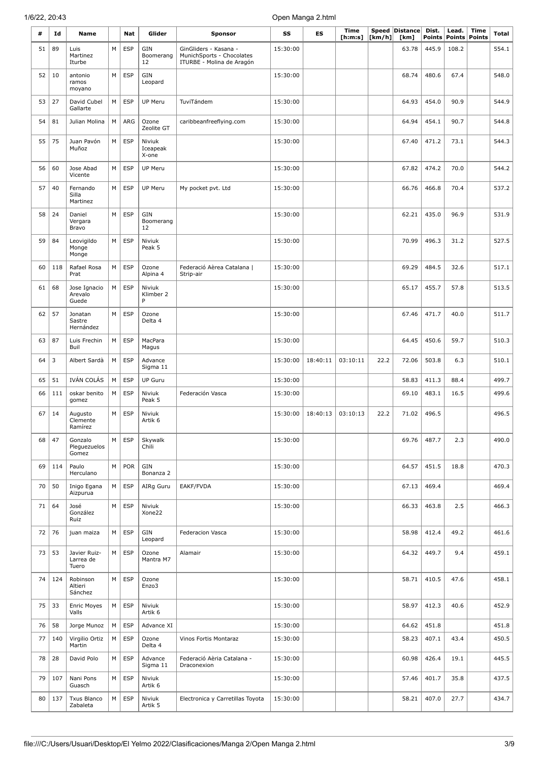| #  | Id  | Name                               |   | Nat        | Glider                      | <b>Sponsor</b>                                                                  | SS       | ES       | <b>Time</b><br>[ <b>h</b> : <b>m</b> : <b>s</b> ] | [km/h] | Speed Distance<br>[km] | Dist.<br><b>Points</b> | Lead.<br><b>Points Points</b> | <b>Time</b> | Total |
|----|-----|------------------------------------|---|------------|-----------------------------|---------------------------------------------------------------------------------|----------|----------|---------------------------------------------------|--------|------------------------|------------------------|-------------------------------|-------------|-------|
| 51 | 89  | Luis<br>Martinez<br>Iturbe         | М | <b>ESP</b> | GIN<br>Boomerang<br>12      | GinGliders - Kasana -<br>MunichSports - Chocolates<br>ITURBE - Molina de Aragón | 15:30:00 |          |                                                   |        | 63.78                  | 445.9                  | 108.2                         |             | 554.1 |
| 52 | 10  | antonio<br>ramos<br>moyano         | M | <b>ESP</b> | GIN<br>Leopard              |                                                                                 | 15:30:00 |          |                                                   |        | 68.74                  | 480.6                  | 67.4                          |             | 548.0 |
| 53 | 27  | David Cubel<br>Gallarte            | М | <b>ESP</b> | <b>UP Meru</b>              | TuviTándem                                                                      | 15:30:00 |          |                                                   |        | 64.93                  | 454.0                  | 90.9                          |             | 544.9 |
| 54 | 81  | Julian Molina                      | М | ARG        | Ozone<br>Zeolite GT         | caribbeanfreeflying.com                                                         | 15:30:00 |          |                                                   |        | 64.94                  | 454.1                  | 90.7                          |             | 544.8 |
| 55 | 75  | Juan Pavón<br>Muñoz                | M | <b>ESP</b> | Niviuk<br>Iceapeak<br>X-one |                                                                                 | 15:30:00 |          |                                                   |        | 67.40                  | 471.2                  | 73.1                          |             | 544.3 |
| 56 | 60  | Jose Abad<br>Vicente               | М | <b>ESP</b> | <b>UP Meru</b>              |                                                                                 | 15:30:00 |          |                                                   |        | 67.82                  | 474.2                  | 70.0                          |             | 544.2 |
| 57 | 40  | Fernando<br>Silla<br>Martinez      | M | <b>ESP</b> | <b>UP Meru</b>              | My pocket pvt. Ltd                                                              | 15:30:00 |          |                                                   |        | 66.76                  | 466.8                  | 70.4                          |             | 537.2 |
| 58 | 24  | Daniel<br>Vergara<br>Bravo         | М | <b>ESP</b> | GIN<br>Boomerang<br>12      |                                                                                 | 15:30:00 |          |                                                   |        | 62.21                  | 435.0                  | 96.9                          |             | 531.9 |
| 59 | 84  | Leovigildo<br>Monge<br>Monge       | м | <b>ESP</b> | Niviuk<br>Peak 5            |                                                                                 | 15:30:00 |          |                                                   |        | 70.99                  | 496.3                  | 31.2                          |             | 527.5 |
| 60 | 118 | Rafael Rosa<br>Prat                | M | <b>ESP</b> | Ozone<br>Alpina 4           | Federació Aèrea Catalana  <br>Strip-air                                         | 15:30:00 |          |                                                   |        | 69.29                  | 484.5                  | 32.6                          |             | 517.1 |
| 61 | 68  | Jose Ignacio<br>Arevalo<br>Guede   | M | <b>ESP</b> | Niviuk<br>Klimber 2<br>P    |                                                                                 | 15:30:00 |          |                                                   |        | 65.17                  | 455.7                  | 57.8                          |             | 513.5 |
| 62 | 57  | Jonatan<br>Sastre<br>Hernández     | M | <b>ESP</b> | Ozone<br>Delta 4            |                                                                                 | 15:30:00 |          |                                                   |        | 67.46                  | 471.7                  | 40.0                          |             | 511.7 |
| 63 | 87  | Luis Frechin<br>Buil               | M | <b>ESP</b> | MacPara<br>Magus            |                                                                                 | 15:30:00 |          |                                                   |        | 64.45                  | 450.6                  | 59.7                          |             | 510.3 |
| 64 | 3   | Albert Sardà                       | М | <b>ESP</b> | Advance<br>Sigma 11         |                                                                                 | 15:30:00 | 18:40:11 | 03:10:11                                          | 22.2   | 72.06                  | 503.8                  | 6.3                           |             | 510.1 |
| 65 | 51  | IVÁN COLÁS                         | М | <b>ESP</b> | <b>UP Guru</b>              |                                                                                 | 15:30:00 |          |                                                   |        | 58.83                  | 411.3                  | 88.4                          |             | 499.7 |
| 66 | 111 | oskar benito<br>gomez              | М | <b>ESP</b> | Niviuk<br>Peak 5            | Federación Vasca                                                                | 15:30:00 |          |                                                   |        | 69.10                  | 483.1                  | 16.5                          |             | 499.6 |
| 67 | 14  | Augusto<br>Clemente<br>Ramírez     | M | <b>ESP</b> | Niviuk<br>Artik 6           |                                                                                 | 15:30:00 | 18:40:13 | 03:10:13                                          | 22.2   | 71.02                  | 496.5                  |                               |             | 496.5 |
| 68 | 47  | Gonzalo<br>Pleguezuelos<br>Gomez   | М | <b>ESP</b> | Skywalk<br>Chili            |                                                                                 | 15:30:00 |          |                                                   |        | 69.76                  | 487.7                  | 2.3                           |             | 490.0 |
| 69 | 114 | Paulo<br>Herculano                 | М | POR        | GIN<br>Bonanza 2            |                                                                                 | 15:30:00 |          |                                                   |        | 64.57                  | 451.5                  | 18.8                          |             | 470.3 |
| 70 | 50  | Inigo Egana<br>Aizpurua            | M | <b>ESP</b> | AIRq Guru                   | EAKF/FVDA                                                                       | 15:30:00 |          |                                                   |        | 67.13                  | 469.4                  |                               |             | 469.4 |
| 71 | 64  | José<br>González<br>Ruiz           | M | <b>ESP</b> | Niviuk<br>Xone22            |                                                                                 | 15:30:00 |          |                                                   |        | 66.33                  | 463.8                  | 2.5                           |             | 466.3 |
| 72 | 76  | juan maiza                         | M | ESP        | GIN<br>Leopard              | Federacion Vasca                                                                | 15:30:00 |          |                                                   |        | 58.98                  | 412.4                  | 49.2                          |             | 461.6 |
| 73 | 53  | Javier Ruiz-<br>Larrea de<br>Tuero | M | <b>ESP</b> | Ozone<br>Mantra M7          | Alamair                                                                         | 15:30:00 |          |                                                   |        | 64.32                  | 449.7                  | 9.4                           |             | 459.1 |
| 74 | 124 | Robinson<br>Altieri<br>Sánchez     | M | <b>ESP</b> | Ozone<br>Enzo3              |                                                                                 | 15:30:00 |          |                                                   |        | 58.71                  | 410.5                  | 47.6                          |             | 458.1 |
| 75 | 33  | Enric Moyes<br>Valls               | М | <b>ESP</b> | Niviuk<br>Artik 6           |                                                                                 | 15:30:00 |          |                                                   |        | 58.97                  | 412.3                  | 40.6                          |             | 452.9 |
| 76 | 58  | Jorge Munoz                        | M | <b>ESP</b> | Advance XI                  |                                                                                 | 15:30:00 |          |                                                   |        | 64.62                  | 451.8                  |                               |             | 451.8 |
| 77 | 140 | Virgilio Ortiz<br>Martin           | M | <b>ESP</b> | Ozone<br>Delta 4            | Vinos Fortis Montaraz                                                           | 15:30:00 |          |                                                   |        | 58.23                  | 407.1                  | 43.4                          |             | 450.5 |
| 78 | 28  | David Polo                         | M | <b>ESP</b> | Advance<br>Sigma 11         | Federació Aèria Catalana -<br>Draconexion                                       | 15:30:00 |          |                                                   |        | 60.98                  | 426.4                  | 19.1                          |             | 445.5 |
| 79 | 107 | Nani Pons<br>Guasch                | M | ESP        | Niviuk<br>Artik 6           |                                                                                 | 15:30:00 |          |                                                   |        | 57.46                  | 401.7                  | 35.8                          |             | 437.5 |
| 80 | 137 | Txus Blanco<br>Zabaleta            | M | <b>ESP</b> | Niviuk<br>Artik 5           | Electronica y Carretillas Toyota                                                | 15:30:00 |          |                                                   |        | 58.21                  | 407.0                  | 27.7                          |             | 434.7 |

 $\bar{z}$ 

 $\mathbb{Z}_2$ 

J.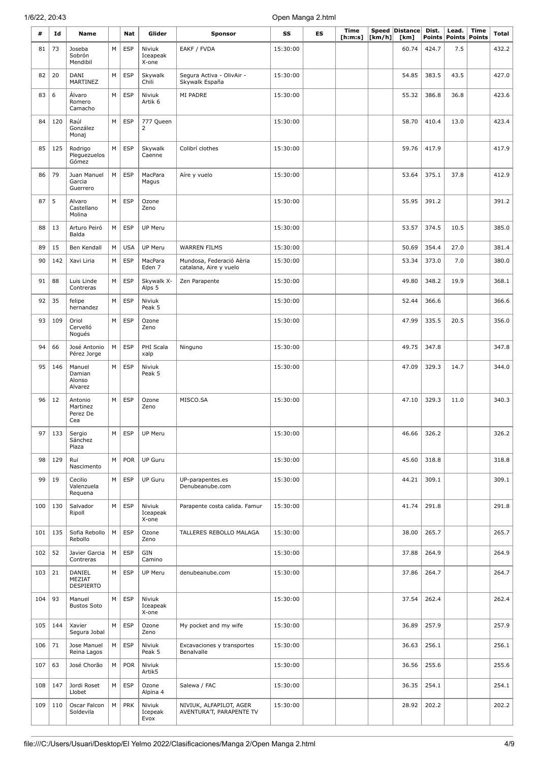| #   | Id  | Name                                   |   | Nat        | Glider                      | <b>Sponsor</b>                                      | SS       | ES | <b>Time</b><br>[ h: m: s] | Speed<br>[km/h] | Distance<br>[km] | Dist.<br><b>Points</b> | Lead.<br><b>Points</b> | <b>Time</b><br><b>Points</b> | Total |
|-----|-----|----------------------------------------|---|------------|-----------------------------|-----------------------------------------------------|----------|----|---------------------------|-----------------|------------------|------------------------|------------------------|------------------------------|-------|
| 81  | 73  | Joseba<br>Sobrón<br>Mendibil           | M | <b>ESP</b> | Niviuk<br>Iceapeak<br>X-one | EAKF / FVDA                                         | 15:30:00 |    |                           |                 | 60.74            | 424.7                  | 7.5                    |                              | 432.2 |
| 82  | 20  | DANI<br>MARTINEZ                       | M | <b>ESP</b> | Skywalk<br>Chili            | Segura Activa - OlivAir -<br>Skywalk España         | 15:30:00 |    |                           |                 | 54.85            | 383.5                  | 43.5                   |                              | 427.0 |
| 83  | 6   | Álvaro<br>Romero<br>Camacho            | M | <b>ESP</b> | Niviuk<br>Artik 6           | MI PADRE                                            | 15:30:00 |    |                           |                 | 55.32            | 386.8                  | 36.8                   |                              | 423.6 |
| 84  | 120 | Raúl<br>González<br>Monaj              | M | <b>ESP</b> | 777 Queen<br>$\overline{2}$ |                                                     | 15:30:00 |    |                           |                 | 58.70            | 410.4                  | 13.0                   |                              | 423.4 |
| 85  | 125 | Rodrigo<br>Pleguezuelos<br>Gómez       | M | <b>ESP</b> | Skywalk<br>Caenne           | Colibrí clothes                                     | 15:30:00 |    |                           |                 | 59.76            | 417.9                  |                        |                              | 417.9 |
| 86  | 79  | Juan Manuel<br>Garcia<br>Guerrero      | M | <b>ESP</b> | MacPara<br>Magus            | Aíre y vuelo                                        | 15:30:00 |    |                           |                 | 53.64            | 375.1                  | 37.8                   |                              | 412.9 |
| 87  | 5   | Alvaro<br>Castellano<br>Molina         | M | <b>ESP</b> | Ozone<br>Zeno               |                                                     | 15:30:00 |    |                           |                 | 55.95            | 391.2                  |                        |                              | 391.2 |
| 88  | 13  | Arturo Peiró<br>Balda                  | M | <b>ESP</b> | UP Meru                     |                                                     | 15:30:00 |    |                           |                 | 53.57            | 374.5                  | 10.5                   |                              | 385.0 |
| 89  | 15  | Ben Kendall                            | M | <b>USA</b> | <b>UP Meru</b>              | <b>WARREN FILMS</b>                                 | 15:30:00 |    |                           |                 | 50.69            | 354.4                  | 27.0                   |                              | 381.4 |
| 90  | 142 | Xavi Liria                             | M | <b>ESP</b> | MacPara<br>Eden 7           | Mundosa, Federació Aèria<br>catalana, Aire y vuelo  | 15:30:00 |    |                           |                 | 53.34            | 373.0                  | 7.0                    |                              | 380.0 |
| 91  | 88  | Luis Linde<br>Contreras                | M | <b>ESP</b> | Skywalk X-<br>Alps 5        | Zen Parapente                                       | 15:30:00 |    |                           |                 | 49.80            | 348.2                  | 19.9                   |                              | 368.1 |
| 92  | 35  | felipe<br>hernandez                    | M | <b>ESP</b> | Niviuk<br>Peak 5            |                                                     | 15:30:00 |    |                           |                 | 52.44            | 366.6                  |                        |                              | 366.6 |
| 93  | 109 | Oriol<br>Cervelló<br>Nogués            | M | <b>ESP</b> | Ozone<br>Zeno               |                                                     | 15:30:00 |    |                           |                 | 47.99            | 335.5                  | 20.5                   |                              | 356.0 |
| 94  | 66  | José Antonio<br>Pérez Jorge            | М | <b>ESP</b> | PHI Scala<br>xalp           | Ninguno                                             | 15:30:00 |    |                           |                 | 49.75            | 347.8                  |                        |                              | 347.8 |
| 95  | 146 | Manuel<br>Damian<br>Alonso<br>Alvarez  | M | <b>ESP</b> | Niviuk<br>Peak 5            |                                                     | 15:30:00 |    |                           |                 | 47.09            | 329.3                  | 14.7                   |                              | 344.0 |
| 96  | 12  | Antonio<br>Martinez<br>Perez De<br>Cea | M | <b>ESP</b> | Ozone<br>Zeno               | MISCO.SA                                            | 15:30:00 |    |                           |                 | 47.10            | 329.3                  | 11.0                   |                              | 340.3 |
| 97  | 133 | Sergio<br>Sánchez<br>Plaza             | M | <b>ESP</b> | UP Meru                     |                                                     | 15:30:00 |    |                           |                 | 46.66            | 326.2                  |                        |                              | 326.2 |
| 98  | 129 | Rui<br>Nascimento                      | M | <b>POR</b> | <b>UP Guru</b>              |                                                     | 15:30:00 |    |                           |                 | 45.60            | 318.8                  |                        |                              | 318.8 |
| 99  | 19  | Cecilio<br>Valenzuela<br>Requena       | M | <b>ESP</b> | <b>UP Guru</b>              | UP-parapentes.es<br>Denubeanube.com                 | 15:30:00 |    |                           |                 | 44.21            | 309.1                  |                        |                              | 309.1 |
| 100 | 130 | Salvador<br>Ripoll                     | M | <b>ESP</b> | Niviuk<br>Iceapeak<br>X-one | Parapente costa calida. Famur                       | 15:30:00 |    |                           |                 | 41.74            | 291.8                  |                        |                              | 291.8 |
| 101 | 135 | Sofia Rebollo<br>Rebollo               | M | <b>ESP</b> | Ozone<br>Zeno               | TALLERES REBOLLO MALAGA                             | 15:30:00 |    |                           |                 | 38.00            | 265.7                  |                        |                              | 265.7 |
| 102 | 52  | Javier Garcia<br>Contreras             | M | <b>ESP</b> | GIN<br>Camino               |                                                     | 15:30:00 |    |                           |                 | 37.88            | 264.9                  |                        |                              | 264.9 |
| 103 | 21  | DANIEL<br>MEZIAT<br><b>DESPIERTO</b>   | M | <b>ESP</b> | UP Meru                     | denubeanube.com                                     | 15:30:00 |    |                           |                 | 37.86            | 264.7                  |                        |                              | 264.7 |
| 104 | 93  | Manuel<br><b>Bustos Soto</b>           | M | <b>ESP</b> | Niviuk<br>Iceapeak<br>X-one |                                                     | 15:30:00 |    |                           |                 | 37.54            | 262.4                  |                        |                              | 262.4 |
| 105 | 144 | Xavier<br>Segura Jobal                 | M | <b>ESP</b> | Ozone<br>Zeno               | My pocket and my wife                               | 15:30:00 |    |                           |                 | 36.89            | 257.9                  |                        |                              | 257.9 |
| 106 | 71  | Jose Manuel<br>Reina Lagos             | M | <b>ESP</b> | Niviuk<br>Peak 5            | Excavaciones y transportes<br>Benalvalle            | 15:30:00 |    |                           |                 | 36.63            | 256.1                  |                        |                              | 256.1 |
| 107 | 63  | José Chorão                            | M | <b>POR</b> | Niviuk<br>Artik5            |                                                     | 15:30:00 |    |                           |                 | 36.56            | 255.6                  |                        |                              | 255.6 |
| 108 | 147 | Jordi Roset<br>Llobet                  | M | <b>ESP</b> | Ozone<br>Alpina 4           | Salewa / FAC                                        | 15:30:00 |    |                           |                 | 36.35            | 254.1                  |                        |                              | 254.1 |
| 109 | 110 | Oscar Falcon<br>Soldevila              | M | PRK        | Niviuk<br>Icepeak<br>Evox   | NIVIUK, ALFAPILOT, AGER<br>AVENTURA'T, PARAPENTE TV | 15:30:00 |    |                           |                 | 28.92            | 202.2                  |                        |                              | 202.2 |

 $\hat{\mathcal{A}}$ 

 $\sim$ 

 $\mathcal{A}_\mathrm{c}$ 

 $\bar{z}$ 

 $\bar{\bar{z}}$ 

J.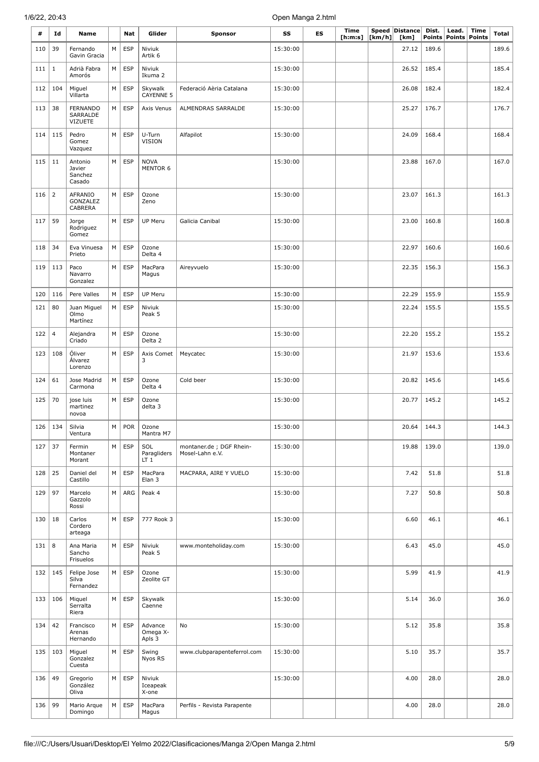| #   | Id             | Name                                          |   | Nat        | Glider                                | <b>Sponsor</b>                             | SS       | ES | <b>Time</b><br>[h:m:s] | $\lfloor \mathsf{km}/\mathsf{h} \rfloor$ | Speed Distance<br>[km] | Dist.<br>Points | Lead.<br><b>Points</b> | <b>Time</b><br><b>Points</b> | <b>Total</b> |
|-----|----------------|-----------------------------------------------|---|------------|---------------------------------------|--------------------------------------------|----------|----|------------------------|------------------------------------------|------------------------|-----------------|------------------------|------------------------------|--------------|
| 110 | 39             | Fernando<br>Gavin Gracia                      | М | <b>ESP</b> | Niviuk<br>Artik <sub>6</sub>          |                                            | 15:30:00 |    |                        |                                          | 27.12                  | 189.6           |                        |                              | 189.6        |
| 111 | $\mathbf{1}$   | Adrià Fabra<br>Amorós                         | М | <b>ESP</b> | Niviuk<br>Ikuma 2                     |                                            | 15:30:00 |    |                        |                                          | 26.52                  | 185.4           |                        |                              | 185.4        |
| 112 | 104            | Miguel<br>Villarta                            | М | <b>ESP</b> | Skywalk<br><b>CAYENNE 5</b>           | Federació Aèria Catalana                   | 15:30:00 |    |                        |                                          | 26.08                  | 182.4           |                        |                              | 182.4        |
| 113 | 38             | <b>FERNANDO</b><br>SARRALDE<br><b>VIZUETE</b> | M | <b>ESP</b> | Axis Venus                            | ALMENDRAS SARRALDE                         | 15:30:00 |    |                        |                                          | 25.27                  | 176.7           |                        |                              | 176.7        |
| 114 | 115            | Pedro<br>Gomez<br>Vazquez                     | M | <b>ESP</b> | U-Turn<br>VISION                      | Alfapilot                                  | 15:30:00 |    |                        |                                          | 24.09                  | 168.4           |                        |                              | 168.4        |
| 115 | 11             | Antonio<br>Javier<br>Sanchez<br>Casado        | М | <b>ESP</b> | <b>NOVA</b><br>MENTOR 6               |                                            | 15:30:00 |    |                        |                                          | 23.88                  | 167.0           |                        |                              | 167.0        |
| 116 | $\overline{2}$ | AFRANIO<br>GONZALEZ<br>CABRERA                | M | <b>ESP</b> | Ozone<br>Zeno                         |                                            | 15:30:00 |    |                        |                                          | 23.07                  | 161.3           |                        |                              | 161.3        |
| 117 | 59             | Jorge<br>Rodriguez<br>Gomez                   | М | <b>ESP</b> | UP Meru                               | Galicia Canibal                            | 15:30:00 |    |                        |                                          | 23.00                  | 160.8           |                        |                              | 160.8        |
| 118 | 34             | Eva Vinuesa<br>Prieto                         | М | <b>ESP</b> | Ozone<br>Delta 4                      |                                            | 15:30:00 |    |                        |                                          | 22.97                  | 160.6           |                        |                              | 160.6        |
| 119 | 113            | Paco<br>Navarro<br>Gonzalez                   | М | <b>ESP</b> | MacPara<br>Magus                      | Aireyvuelo                                 | 15:30:00 |    |                        |                                          | 22.35                  | 156.3           |                        |                              | 156.3        |
| 120 | 116            | Pere Valles                                   | М | <b>ESP</b> | UP Meru                               |                                            | 15:30:00 |    |                        |                                          | 22.29                  | 155.9           |                        |                              | 155.9        |
| 121 | 80             | Juan Miguel<br>Olmo<br>Martínez               | М | <b>ESP</b> | Niviuk<br>Peak 5                      |                                            | 15:30:00 |    |                        |                                          | 22.24                  | 155.5           |                        |                              | 155.5        |
| 122 | $\overline{4}$ | Alejandra<br>Criado                           | M | <b>ESP</b> | Ozone<br>Delta 2                      |                                            | 15:30:00 |    |                        |                                          | 22.20                  | 155.2           |                        |                              | 155.2        |
| 123 | 108            | Óliver<br>Álvarez<br>Lorenzo                  | М | <b>ESP</b> | Axis Comet<br>3                       | Meycatec                                   | 15:30:00 |    |                        |                                          | 21.97                  | 153.6           |                        |                              | 153.6        |
| 124 | 61             | Jose Madrid<br>Carmona                        | M | <b>ESP</b> | Ozone<br>Delta 4                      | Cold beer                                  | 15:30:00 |    |                        |                                          | 20.82                  | 145.6           |                        |                              | 145.6        |
| 125 | 70             | jose luis<br>martinez<br>novoa                | М | <b>ESP</b> | Ozone<br>delta 3                      |                                            | 15:30:00 |    |                        |                                          | 20.77                  | 145.2           |                        |                              | 145.2        |
| 126 | 134            | Silvia<br>Ventura                             | М | POR        | Ozone<br>Mantra M7                    |                                            | 15:30:00 |    |                        |                                          | 20.64                  | 144.3           |                        |                              | 144.3        |
| 127 | 37             | Fermin<br>Montaner<br>Morant                  | M | <b>ESP</b> | SOL<br>Paragliders<br>LT <sub>1</sub> | montaner.de; DGF Rhein-<br>Mosel-Lahn e.V. | 15:30:00 |    |                        |                                          | 19.88                  | 139.0           |                        |                              | 139.0        |
| 128 | 25             | Daniel del<br>Castillo                        | М | <b>ESP</b> | MacPara<br>Elan 3                     | MACPARA, AIRE Y VUELO                      | 15:30:00 |    |                        |                                          | 7.42                   | 51.8            |                        |                              | 51.8         |
| 129 | 97             | Marcelo<br>Gazzolo<br>Rossi                   | М | ARG        | Peak 4                                |                                            | 15:30:00 |    |                        |                                          | 7.27                   | 50.8            |                        |                              | 50.8         |
| 130 | 18             | Carlos<br>Cordero<br>arteaga                  | М | <b>ESP</b> | 777 Rook 3                            |                                            | 15:30:00 |    |                        |                                          | 6.60                   | 46.1            |                        |                              | 46.1         |
| 131 | 8              | Ana Maria<br>Sancho<br>Frisuelos              | М | <b>ESP</b> | Niviuk<br>Peak 5                      | www.monteholiday.com                       | 15:30:00 |    |                        |                                          | 6.43                   | 45.0            |                        |                              | 45.0         |
| 132 | 145            | Felipe Jose<br>Silva<br>Fernandez             | M | <b>ESP</b> | Ozone<br>Zeolite GT                   |                                            | 15:30:00 |    |                        |                                          | 5.99                   | 41.9            |                        |                              | 41.9         |
| 133 | 106            | Miquel<br>Serralta<br>Riera                   | M | <b>ESP</b> | Skywalk<br>Caenne                     |                                            | 15:30:00 |    |                        |                                          | 5.14                   | 36.0            |                        |                              | 36.0         |
| 134 | 42             | Francisco<br>Arenas<br>Hernando               | M | <b>ESP</b> | Advance<br>Omega X-<br>Apls 3         | No                                         | 15:30:00 |    |                        |                                          | 5.12                   | 35.8            |                        |                              | 35.8         |
| 135 | 103            | Miguel<br>Gonzalez<br>Cuesta                  | М | <b>ESP</b> | Swing<br>Nyos RS                      | www.clubparapenteferrol.com                | 15:30:00 |    |                        |                                          | 5.10                   | 35.7            |                        |                              | 35.7         |
| 136 | 49             | Gregorio<br>González<br>Oliva                 | M | <b>ESP</b> | Niviuk<br>Iceapeak<br>X-one           |                                            | 15:30:00 |    |                        |                                          | 4.00                   | 28.0            |                        |                              | 28.0         |
| 136 | 99             | Mario Arque<br>Domingo                        | M | <b>ESP</b> | MacPara<br>Magus                      | Perfils - Revista Parapente                |          |    |                        |                                          | 4.00                   | 28.0            |                        |                              | 28.0         |

 $\bar{z}$ 

 $\mathbb{Z}_2$ 

J.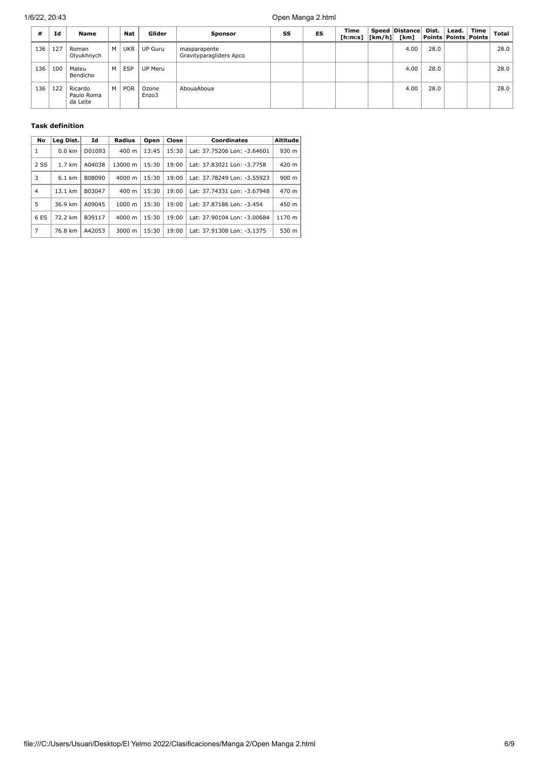| #   | Id  | Name                              |   | <b>Nat</b> | Glider         | <b>Sponsor</b>                          | SS | ES | Time<br>[ h: m: s]   [ km/h ] | Speed Distance<br>[km] | Dist. | Lead. | Time<br>Points   Points   Points | <b>Total</b> |
|-----|-----|-----------------------------------|---|------------|----------------|-----------------------------------------|----|----|-------------------------------|------------------------|-------|-------|----------------------------------|--------------|
| 136 | 127 | Roman<br>Olyukhnych               | м | UKR        | UP Guru        | masparapente<br>Gravityparagliders Apco |    |    |                               | 4.00                   | 28.0  |       |                                  | 28.0         |
| 136 | 100 | Mateu<br>Bendicho                 | м | <b>ESP</b> | UP Meru        |                                         |    |    |                               | 4.00                   | 28.0  |       |                                  | 28.0         |
| 136 | 122 | Ricardo<br>Paulo Roma<br>da Leite | м | <b>POR</b> | Ozone<br>Enzo3 | AbouaAboua                              |    |    |                               | 4.00                   | 28.0  |       |                                  | 28.0         |

### **Task definition**

| No     | Leg Dist.        | Id     | Radius             | Open  | Close | <b>Coordinates</b>          | <b>Altitude</b> |
|--------|------------------|--------|--------------------|-------|-------|-----------------------------|-----------------|
| 1      | $0.0 \text{ km}$ | D01093 | $400 \text{ m}$    | 13:45 | 15:30 | Lat: 37.75206 Lon: -3.64601 | 930 m           |
| $2$ SS | $1.7 \text{ km}$ | A04038 | 13000 m            | 15:30 | 19:00 | Lat: 37.83021 Lon: -3.7758  | 420 m           |
| 3      | $6.1 \text{ km}$ | B08090 | $4000 \; \text{m}$ | 15:30 | 19:00 | Lat: 37.78249 Lon: -3.55923 | 900 m           |
| 4      | 13.1 km          | B03047 | $400 \text{ m}$    | 15:30 | 19:00 | Lat: 37.74331 Lon: -3.67948 | 470 m           |
| 5      | 36.9 km          | A09045 | $1000 \;{\rm m}$   | 15:30 | 19:00 | Lat: 37.87186 Lon: -3.454   | 450 m           |
| 6 ES   | 72.2 km          | B39117 | $4000 \; \text{m}$ | 15:30 | 19:00 | Lat: 37.90104 Lon: -3.00684 | 1170 m          |
| 7      | 76.8 km          | A42053 | 3000 m             | 15:30 | 19:00 | Lat: 37.91308 Lon: -3.1375  | 530 m           |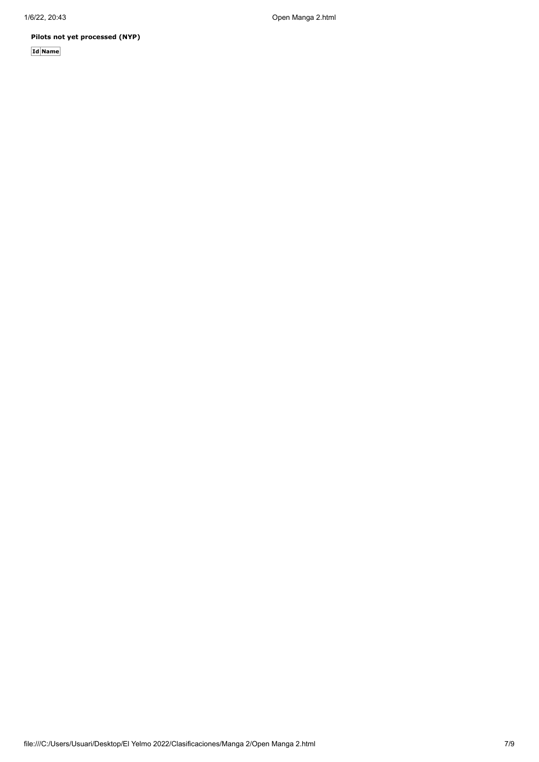**Pilots not yet processed (NYP)**

**Id Name**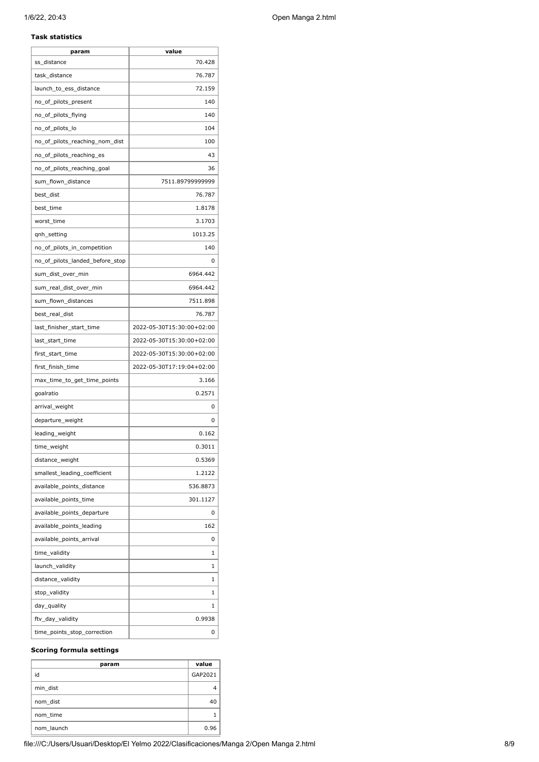#### **Task statistics**

| param                           | value                     |
|---------------------------------|---------------------------|
| ss_distance                     | 70.428                    |
| task_distance                   | 76.787                    |
| launch_to_ess_distance          | 72.159                    |
| no_of_pilots_present            | 140                       |
| no_of_pilots_flying             | 140                       |
| no_of_pilots_lo                 | 104                       |
| no of pilots reaching nom dist  | 100                       |
| no_of_pilots_reaching_es        | 43                        |
| no_of_pilots_reaching_goal      | 36                        |
| sum flown distance              | 7511.89799999999          |
| best_dist                       | 76.787                    |
| best_time                       | 1.8178                    |
| worst_time                      | 3.1703                    |
| qnh_setting                     | 1013.25                   |
| no_of_pilots_in_competition     | 140                       |
| no_of_pilots_landed_before_stop | 0                         |
| sum_dist_over_min               | 6964.442                  |
| sum_real_dist_over_min          | 6964.442                  |
| sum_flown_distances             | 7511.898                  |
| best_real_dist                  | 76.787                    |
| last_finisher_start_time        | 2022-05-30T15:30:00+02:00 |
| last_start_time                 | 2022-05-30T15:30:00+02:00 |
| first_start_time                | 2022-05-30T15:30:00+02:00 |
| first_finish_time               | 2022-05-30T17:19:04+02:00 |
| max_time_to_get_time_points     | 3.166                     |
| goalratio                       | 0.2571                    |
| arrival_weight                  | 0                         |
| departure_weight                | 0                         |
| leading_weight                  | 0.162                     |
| time_weight                     | 0.3011                    |
| distance_weight                 | 0.5369                    |
| smallest_leading_coefficient    | 1.2122                    |
| available_points_distance       | 536.8873                  |
| available_points_time           | 301.1127                  |
| available_points_departure      | 0                         |
| available_points_leading        | 162                       |
| available_points_arrival        | 0                         |
| time_validity                   | 1                         |
| launch_validity                 | 1                         |
| distance_validity               | 1                         |
| stop_validity                   | 1                         |
| day_quality                     | 1                         |
| ftv_day_validity                | 0.9938                    |
| time_points_stop_correction     | 0                         |
|                                 |                           |

#### **Scoring formula settings**

| param      | value   |
|------------|---------|
| id         | GAP2021 |
| min dist   |         |
| nom dist   | 40      |
| nom time   |         |
| nom launch | 0.96    |